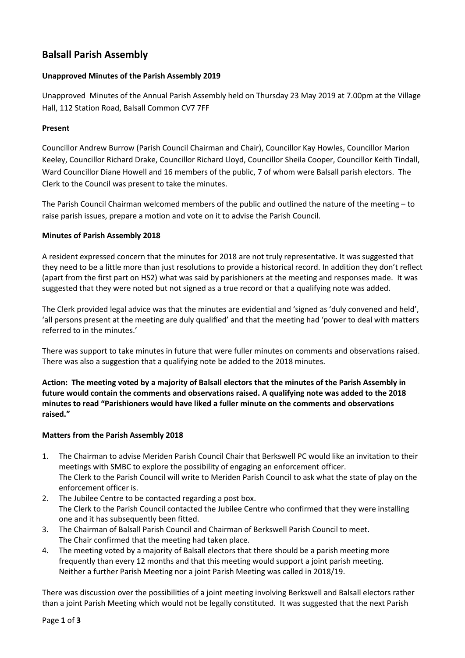# **Balsall Parish Assembly**

# **Unapproved Minutes of the Parish Assembly 2019**

Unapproved Minutes of the Annual Parish Assembly held on Thursday 23 May 2019 at 7.00pm at the Village Hall, 112 Station Road, Balsall Common CV7 7FF

# **Present**

Councillor Andrew Burrow (Parish Council Chairman and Chair), Councillor Kay Howles, Councillor Marion Keeley, Councillor Richard Drake, Councillor Richard Lloyd, Councillor Sheila Cooper, Councillor Keith Tindall, Ward Councillor Diane Howell and 16 members of the public, 7 of whom were Balsall parish electors. The Clerk to the Council was present to take the minutes.

The Parish Council Chairman welcomed members of the public and outlined the nature of the meeting – to raise parish issues, prepare a motion and vote on it to advise the Parish Council.

# **Minutes of Parish Assembly 2018**

A resident expressed concern that the minutes for 2018 are not truly representative. It was suggested that they need to be a little more than just resolutions to provide a historical record. In addition they don't reflect (apart from the first part on HS2) what was said by parishioners at the meeting and responses made. It was suggested that they were noted but not signed as a true record or that a qualifying note was added.

The Clerk provided legal advice was that the minutes are evidential and 'signed as 'duly convened and held', 'all persons present at the meeting are duly qualified' and that the meeting had 'power to deal with matters referred to in the minutes.'

There was support to take minutes in future that were fuller minutes on comments and observations raised. There was also a suggestion that a qualifying note be added to the 2018 minutes.

**Action: The meeting voted by a majority of Balsall electors that the minutes of the Parish Assembly in future would contain the comments and observations raised. A qualifying note was added to the 2018 minutes to read "Parishioners would have liked a fuller minute on the comments and observations raised."**

# **Matters from the Parish Assembly 2018**

- 1. The Chairman to advise Meriden Parish Council Chair that Berkswell PC would like an invitation to their meetings with SMBC to explore the possibility of engaging an enforcement officer. The Clerk to the Parish Council will write to Meriden Parish Council to ask what the state of play on the enforcement officer is.
- 2. The Jubilee Centre to be contacted regarding a post box. The Clerk to the Parish Council contacted the Jubilee Centre who confirmed that they were installing one and it has subsequently been fitted.
- 3. The Chairman of Balsall Parish Council and Chairman of Berkswell Parish Council to meet. The Chair confirmed that the meeting had taken place.
- 4. The meeting voted by a majority of Balsall electors that there should be a parish meeting more frequently than every 12 months and that this meeting would support a joint parish meeting. Neither a further Parish Meeting nor a joint Parish Meeting was called in 2018/19.

There was discussion over the possibilities of a joint meeting involving Berkswell and Balsall electors rather than a joint Parish Meeting which would not be legally constituted. It was suggested that the next Parish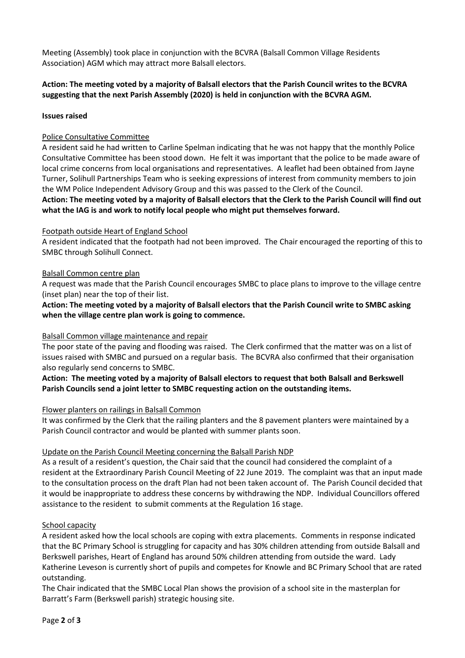Meeting (Assembly) took place in conjunction with the BCVRA (Balsall Common Village Residents Association) AGM which may attract more Balsall electors.

# **Action: The meeting voted by a majority of Balsall electors that the Parish Council writes to the BCVRA suggesting that the next Parish Assembly (2020) is held in conjunction with the BCVRA AGM.**

#### **Issues raised**

## Police Consultative Committee

A resident said he had written to Carline Spelman indicating that he was not happy that the monthly Police Consultative Committee has been stood down. He felt it was important that the police to be made aware of local crime concerns from local organisations and representatives. A leaflet had been obtained from Jayne Turner, Solihull Partnerships Team who is seeking expressions of interest from community members to join the WM Police Independent Advisory Group and this was passed to the Clerk of the Council.

**Action: The meeting voted by a majority of Balsall electors that the Clerk to the Parish Council will find out what the IAG is and work to notify local people who might put themselves forward.**

#### Footpath outside Heart of England School

A resident indicated that the footpath had not been improved. The Chair encouraged the reporting of this to SMBC through Solihull Connect.

#### Balsall Common centre plan

A request was made that the Parish Council encourages SMBC to place plans to improve to the village centre (inset plan) near the top of their list.

**Action: The meeting voted by a majority of Balsall electors that the Parish Council write to SMBC asking when the village centre plan work is going to commence.**

#### Balsall Common village maintenance and repair

The poor state of the paving and flooding was raised. The Clerk confirmed that the matter was on a list of issues raised with SMBC and pursued on a regular basis. The BCVRA also confirmed that their organisation also regularly send concerns to SMBC.

## **Action: The meeting voted by a majority of Balsall electors to request that both Balsall and Berkswell Parish Councils send a joint letter to SMBC requesting action on the outstanding items.**

#### Flower planters on railings in Balsall Common

It was confirmed by the Clerk that the railing planters and the 8 pavement planters were maintained by a Parish Council contractor and would be planted with summer plants soon.

#### Update on the Parish Council Meeting concerning the Balsall Parish NDP

As a result of a resident's question, the Chair said that the council had considered the complaint of a resident at the Extraordinary Parish Council Meeting of 22 June 2019. The complaint was that an input made to the consultation process on the draft Plan had not been taken account of. The Parish Council decided that it would be inappropriate to address these concerns by withdrawing the NDP. Individual Councillors offered assistance to the resident to submit comments at the Regulation 16 stage.

#### School capacity

A resident asked how the local schools are coping with extra placements. Comments in response indicated that the BC Primary School is struggling for capacity and has 30% children attending from outside Balsall and Berkswell parishes, Heart of England has around 50% children attending from outside the ward. Lady Katherine Leveson is currently short of pupils and competes for Knowle and BC Primary School that are rated outstanding.

The Chair indicated that the SMBC Local Plan shows the provision of a school site in the masterplan for Barratt's Farm (Berkswell parish) strategic housing site.